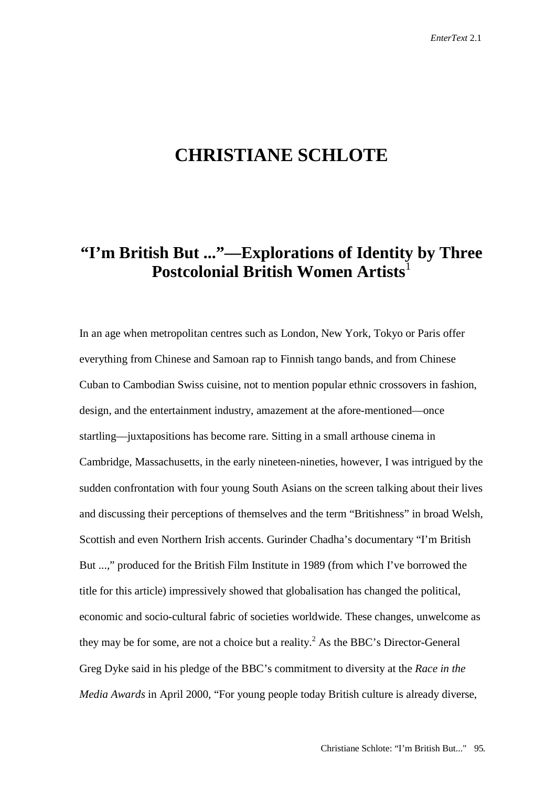## **CHRISTIANE SCHLOTE**

## **"I'm British But ..."—Explorations of Identity by Three Postcolonial British Women Artists**

In an age when metropolitan centres such as London, New York, Tokyo or Paris offer everything from Chinese and Samoan rap to Finnish tango bands, and from Chinese Cuban to Cambodian Swiss cuisine, not to mention popular ethnic crossovers in fashion, design, and the entertainment industry, amazement at the afore-mentioned—once startling—juxtapositions has become rare. Sitting in a small arthouse cinema in Cambridge, Massachusetts, in the early nineteen-nineties, however, I was intrigued by the sudden confrontation with four young South Asians on the screen talking about their lives and discussing their perceptions of themselves and the term "Britishness" in broad Welsh, Scottish and even Northern Irish accents. Gurinder Chadha's documentary "I'm British But ...," produced for the British Film Institute in 1989 (from which I've borrowed the title for this article) impressively showed that globalisation has changed the political, economic and socio-cultural fabric of societies worldwide. These changes, unwelcome as they may be for some, are not a choice but a reality.<sup>2</sup> As the BBC's Director-General Greg Dyke said in his pledge of the BBC's commitment to diversity at the *Race in the Media Awards* in April 2000, "For young people today British culture is already diverse,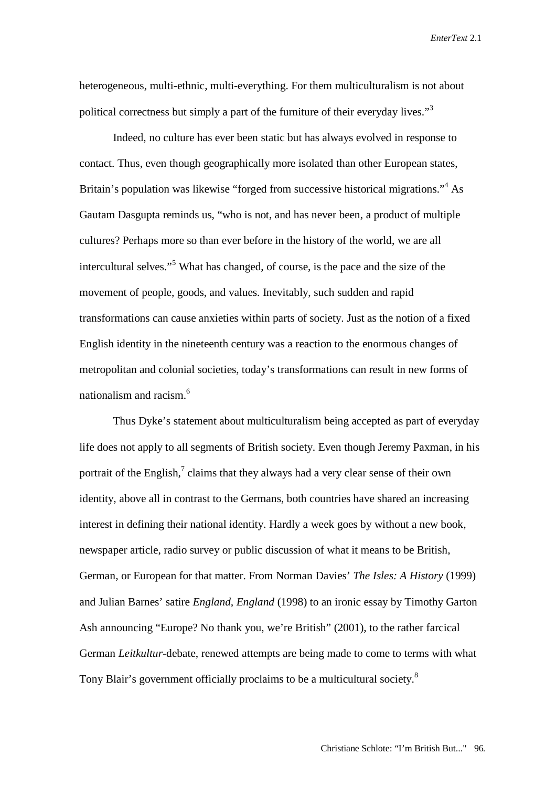heterogeneous, multi-ethnic, multi-everything. For them multiculturalism is not about political correctness but simply a part of the furniture of their everyday lives."<sup>3</sup>

Indeed, no culture has ever been static but has always evolved in response to contact. Thus, even though geographically more isolated than other European states, Britain's population was likewise "forged from successive historical migrations."<sup>4</sup> As Gautam Dasgupta reminds us, "who is not, and has never been, a product of multiple cultures? Perhaps more so than ever before in the history of the world, we are all intercultural selves."<sup>5</sup> What has changed, of course, is the pace and the size of the movement of people, goods, and values. Inevitably, such sudden and rapid transformations can cause anxieties within parts of society. Just as the notion of a fixed English identity in the nineteenth century was a reaction to the enormous changes of metropolitan and colonial societies, today's transformations can result in new forms of nationalism and racism.6

Thus Dyke's statement about multiculturalism being accepted as part of everyday life does not apply to all segments of British society. Even though Jeremy Paxman, in his portrait of the English, $^7$  claims that they always had a very clear sense of their own identity, above all in contrast to the Germans, both countries have shared an increasing interest in defining their national identity. Hardly a week goes by without a new book, newspaper article, radio survey or public discussion of what it means to be British, German, or European for that matter. From Norman Davies' *The Isles: A History* (1999) and Julian Barnes' satire *England, England* (1998) to an ironic essay by Timothy Garton Ash announcing "Europe? No thank you, we're British" (2001), to the rather farcical German *Leitkultur*-debate, renewed attempts are being made to come to terms with what Tony Blair's government officially proclaims to be a multicultural society.<sup>8</sup>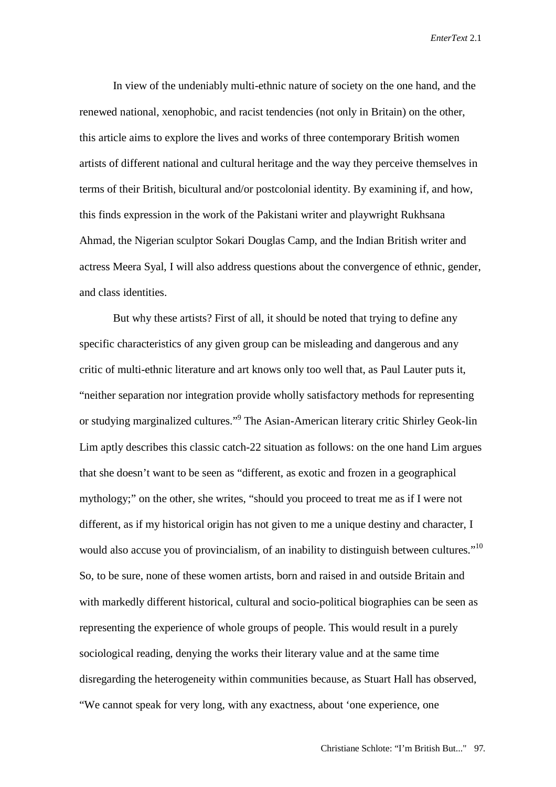In view of the undeniably multi-ethnic nature of society on the one hand, and the renewed national, xenophobic, and racist tendencies (not only in Britain) on the other, this article aims to explore the lives and works of three contemporary British women artists of different national and cultural heritage and the way they perceive themselves in terms of their British, bicultural and/or postcolonial identity. By examining if, and how, this finds expression in the work of the Pakistani writer and playwright Rukhsana Ahmad, the Nigerian sculptor Sokari Douglas Camp, and the Indian British writer and actress Meera Syal, I will also address questions about the convergence of ethnic, gender, and class identities.

But why these artists? First of all, it should be noted that trying to define any specific characteristics of any given group can be misleading and dangerous and any critic of multi-ethnic literature and art knows only too well that, as Paul Lauter puts it, "neither separation nor integration provide wholly satisfactory methods for representing or studying marginalized cultures."<sup>9</sup> The Asian-American literary critic Shirley Geok-lin Lim aptly describes this classic catch-22 situation as follows: on the one hand Lim argues that she doesn't want to be seen as "different, as exotic and frozen in a geographical mythology;" on the other, she writes, "should you proceed to treat me as if I were not different, as if my historical origin has not given to me a unique destiny and character, I would also accuse you of provincialism, of an inability to distinguish between cultures."<sup>10</sup> So, to be sure, none of these women artists, born and raised in and outside Britain and with markedly different historical, cultural and socio-political biographies can be seen as representing the experience of whole groups of people. This would result in a purely sociological reading, denying the works their literary value and at the same time disregarding the heterogeneity within communities because, as Stuart Hall has observed, "We cannot speak for very long, with any exactness, about 'one experience, one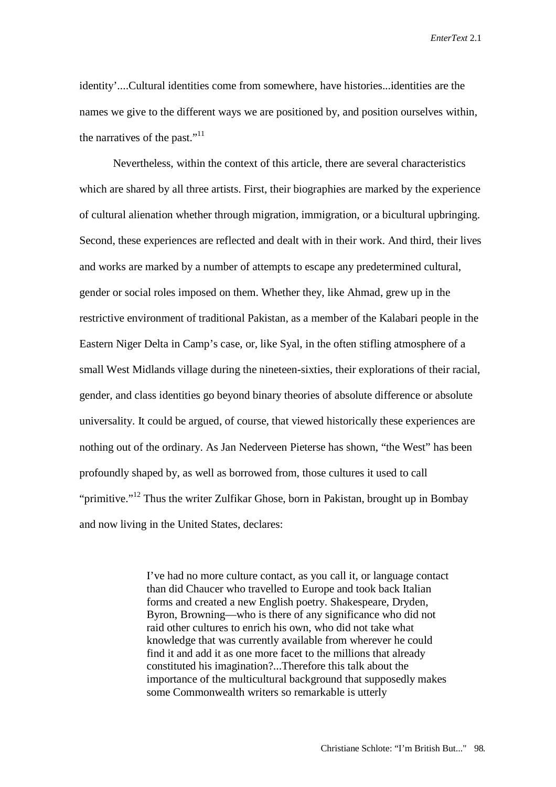identity'....Cultural identities come from somewhere, have histories...identities are the names we give to the different ways we are positioned by, and position ourselves within, the narratives of the past."<sup>11</sup>

Nevertheless, within the context of this article, there are several characteristics which are shared by all three artists. First, their biographies are marked by the experience of cultural alienation whether through migration, immigration, or a bicultural upbringing. Second, these experiences are reflected and dealt with in their work. And third, their lives and works are marked by a number of attempts to escape any predetermined cultural, gender or social roles imposed on them. Whether they, like Ahmad, grew up in the restrictive environment of traditional Pakistan, as a member of the Kalabari people in the Eastern Niger Delta in Camp's case, or, like Syal, in the often stifling atmosphere of a small West Midlands village during the nineteen-sixties, their explorations of their racial, gender, and class identities go beyond binary theories of absolute difference or absolute universality. It could be argued, of course, that viewed historically these experiences are nothing out of the ordinary. As Jan Nederveen Pieterse has shown, "the West" has been profoundly shaped by, as well as borrowed from, those cultures it used to call "primitive."<sup>12</sup> Thus the writer Zulfikar Ghose, born in Pakistan, brought up in Bombay and now living in the United States, declares:

> I've had no more culture contact, as you call it, or language contact than did Chaucer who travelled to Europe and took back Italian forms and created a new English poetry. Shakespeare, Dryden, Byron, Browning—who is there of any significance who did not raid other cultures to enrich his own, who did not take what knowledge that was currently available from wherever he could find it and add it as one more facet to the millions that already constituted his imagination?...Therefore this talk about the importance of the multicultural background that supposedly makes some Commonwealth writers so remarkable is utterly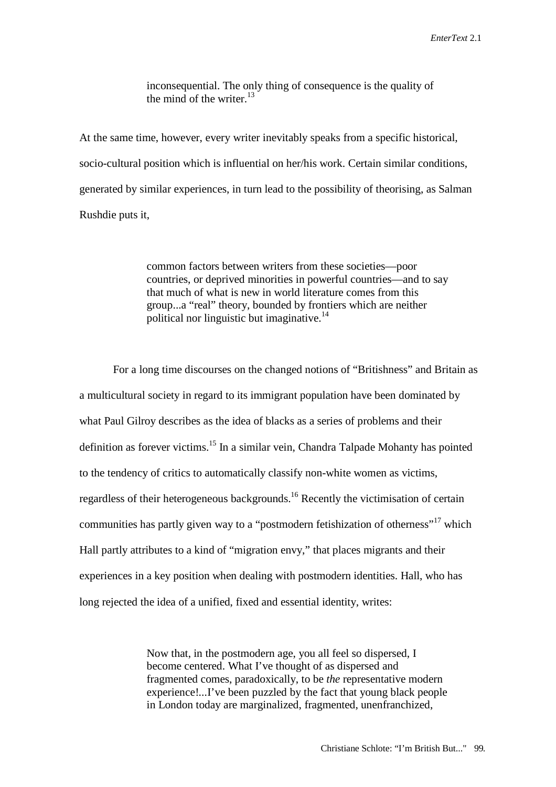inconsequential. The only thing of consequence is the quality of the mind of the writer. $^{13}$ 

At the same time, however, every writer inevitably speaks from a specific historical, socio-cultural position which is influential on her/his work. Certain similar conditions, generated by similar experiences, in turn lead to the possibility of theorising, as Salman Rushdie puts it,

> common factors between writers from these societies—poor countries, or deprived minorities in powerful countries—and to say that much of what is new in world literature comes from this group...a "real" theory, bounded by frontiers which are neither political nor linguistic but imaginative.<sup>14</sup>

For a long time discourses on the changed notions of "Britishness" and Britain as a multicultural society in regard to its immigrant population have been dominated by what Paul Gilroy describes as the idea of blacks as a series of problems and their definition as forever victims.<sup>15</sup> In a similar vein, Chandra Talpade Mohanty has pointed to the tendency of critics to automatically classify non-white women as victims, regardless of their heterogeneous backgrounds.16 Recently the victimisation of certain communities has partly given way to a "postmodern fetishization of otherness"<sup>17</sup> which Hall partly attributes to a kind of "migration envy," that places migrants and their experiences in a key position when dealing with postmodern identities. Hall, who has long rejected the idea of a unified, fixed and essential identity, writes:

> Now that, in the postmodern age, you all feel so dispersed, I become centered. What I've thought of as dispersed and fragmented comes, paradoxically, to be *the* representative modern experience!...I've been puzzled by the fact that young black people in London today are marginalized, fragmented, unenfranchized,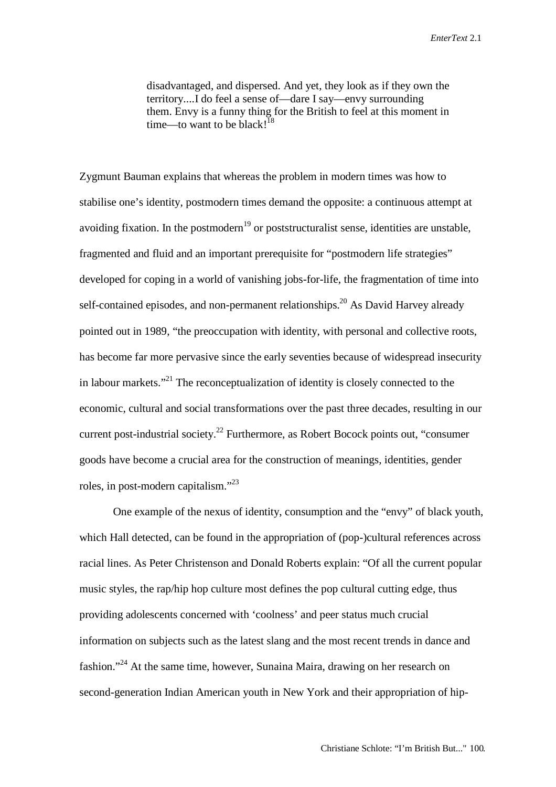disadvantaged, and dispersed. And yet, they look as if they own the territory....I do feel a sense of—dare I say—envy surrounding them. Envy is a funny thing for the British to feel at this moment in time—to want to be black!<sup>18</sup>

Zygmunt Bauman explains that whereas the problem in modern times was how to stabilise one's identity, postmodern times demand the opposite: a continuous attempt at avoiding fixation. In the postmodern<sup>19</sup> or poststructuralist sense, identities are unstable, fragmented and fluid and an important prerequisite for "postmodern life strategies" developed for coping in a world of vanishing jobs-for-life, the fragmentation of time into self-contained episodes, and non-permanent relationships.<sup>20</sup> As David Harvey already pointed out in 1989, "the preoccupation with identity, with personal and collective roots, has become far more pervasive since the early seventies because of widespread insecurity in labour markets."<sup>21</sup> The reconceptualization of identity is closely connected to the economic, cultural and social transformations over the past three decades, resulting in our current post-industrial society.<sup>22</sup> Furthermore, as Robert Bocock points out, "consumer goods have become a crucial area for the construction of meanings, identities, gender roles, in post-modern capitalism."<sup>23</sup>

One example of the nexus of identity, consumption and the "envy" of black youth, which Hall detected, can be found in the appropriation of (pop-)cultural references across racial lines. As Peter Christenson and Donald Roberts explain: "Of all the current popular music styles, the rap/hip hop culture most defines the pop cultural cutting edge, thus providing adolescents concerned with 'coolness' and peer status much crucial information on subjects such as the latest slang and the most recent trends in dance and fashion."24 At the same time, however, Sunaina Maira, drawing on her research on second-generation Indian American youth in New York and their appropriation of hip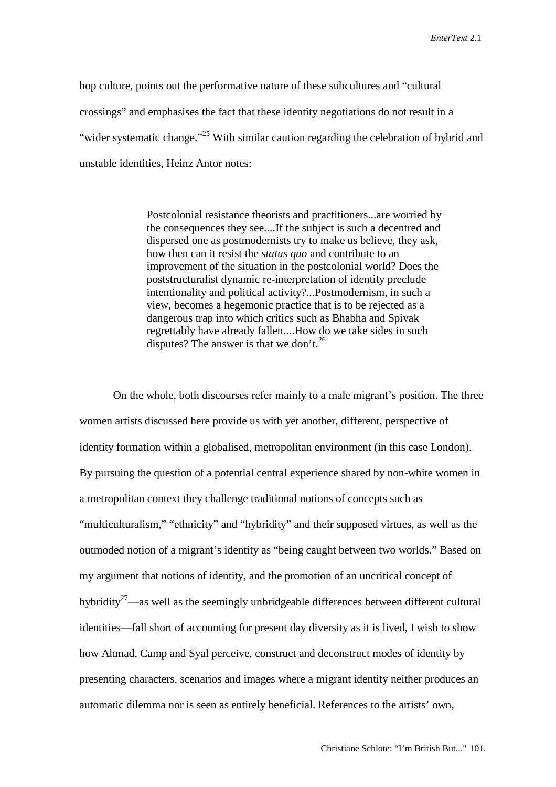hop culture, points out the performative nature of these subcultures and "cultural crossings" and emphasises the fact that these identity negotiations do not result in a "wider systematic change."<sup>25</sup> With similar caution regarding the celebration of hybrid and unstable identities, Heinz Antor notes:

> Postcolonial resistance theorists and practitioners...are worried by the consequences they see....If the subject is such a decentred and dispersed one as postmodernists try to make us believe, they ask, how then can it resist the *status quo* and contribute to an improvement of the situation in the postcolonial world? Does the poststructuralist dynamic re-interpretation of identity preclude intentionality and political activity?...Postmodernism, in such a view, becomes a hegemonic practice that is to be rejected as a dangerous trap into which critics such as Bhabha and Spivak regrettably have already fallen....How do we take sides in such disputes? The answer is that we don't.<sup>26</sup>

On the whole, both discourses refer mainly to a male migrant's position. The three women artists discussed here provide us with yet another, different, perspective of identity formation within a globalised, metropolitan environment (in this case London). By pursuing the question of a potential central experience shared by non-white women in a metropolitan context they challenge traditional notions of concepts such as "multiculturalism," "ethnicity" and "hybridity" and their supposed virtues, as well as the outmoded notion of a migrant's identity as "being caught between two worlds." Based on my argument that notions of identity, and the promotion of an uncritical concept of hybridity<sup>27</sup>—as well as the seemingly unbridgeable differences between different cultural identities—fall short of accounting for present day diversity as it is lived, I wish to show how Ahmad, Camp and Syal perceive, construct and deconstruct modes of identity by presenting characters, scenarios and images where a migrant identity neither produces an automatic dilemma nor is seen as entirely beneficial. References to the artists' own,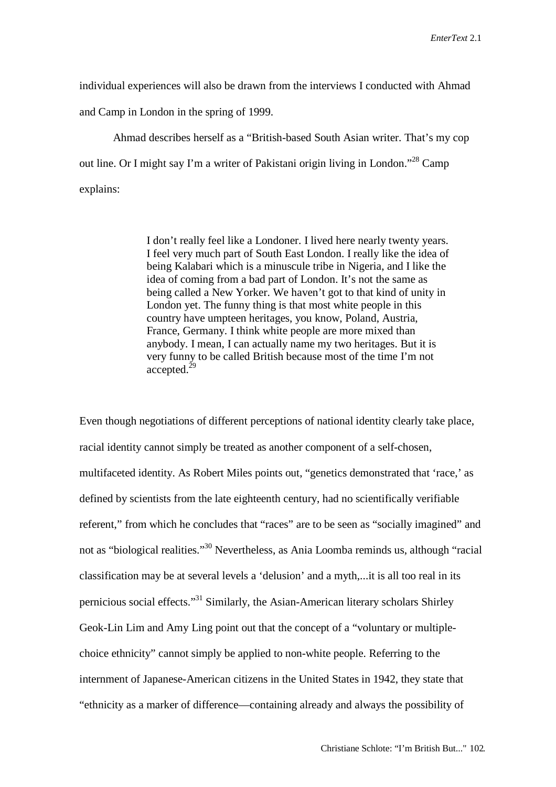individual experiences will also be drawn from the interviews I conducted with Ahmad and Camp in London in the spring of 1999.

Ahmad describes herself as a "British-based South Asian writer. That's my cop out line. Or I might say I'm a writer of Pakistani origin living in London."<sup>28</sup> Camp explains:

> I don't really feel like a Londoner. I lived here nearly twenty years. I feel very much part of South East London. I really like the idea of being Kalabari which is a minuscule tribe in Nigeria, and I like the idea of coming from a bad part of London. It's not the same as being called a New Yorker. We haven't got to that kind of unity in London yet. The funny thing is that most white people in this country have umpteen heritages, you know, Poland, Austria, France, Germany. I think white people are more mixed than anybody. I mean, I can actually name my two heritages. But it is very funny to be called British because most of the time I'm not  $accepted.<sup>29</sup>$

Even though negotiations of different perceptions of national identity clearly take place, racial identity cannot simply be treated as another component of a self-chosen, multifaceted identity. As Robert Miles points out, "genetics demonstrated that 'race,' as defined by scientists from the late eighteenth century, had no scientifically verifiable referent," from which he concludes that "races" are to be seen as "socially imagined" and not as "biological realities."30 Nevertheless, as Ania Loomba reminds us, although "racial classification may be at several levels a 'delusion' and a myth,...it is all too real in its pernicious social effects."31 Similarly, the Asian-American literary scholars Shirley Geok-Lin Lim and Amy Ling point out that the concept of a "voluntary or multiplechoice ethnicity" cannot simply be applied to non-white people. Referring to the internment of Japanese-American citizens in the United States in 1942, they state that "ethnicity as a marker of difference—containing already and always the possibility of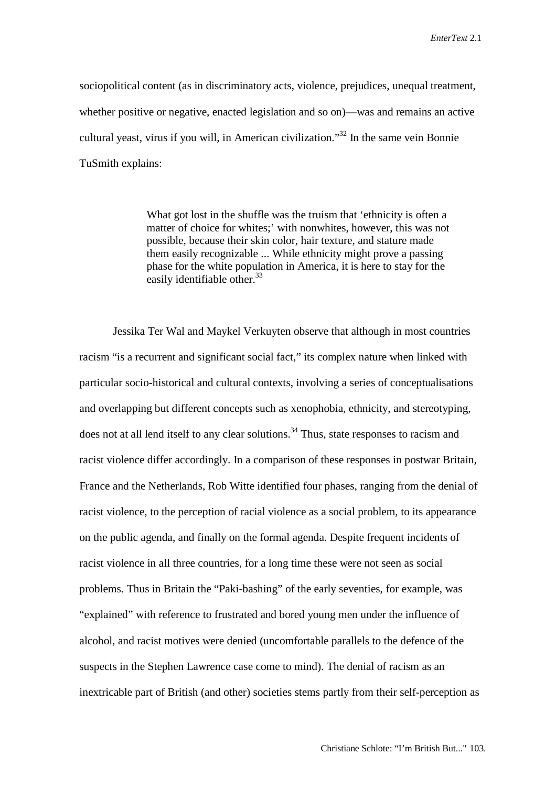sociopolitical content (as in discriminatory acts, violence, prejudices, unequal treatment, whether positive or negative, enacted legislation and so on)—was and remains an active cultural yeast, virus if you will, in American civilization."<sup>32</sup> In the same vein Bonnie TuSmith explains:

> What got lost in the shuffle was the truism that 'ethnicity is often a matter of choice for whites;' with nonwhites, however, this was not possible, because their skin color, hair texture, and stature made them easily recognizable ... While ethnicity might prove a passing phase for the white population in America, it is here to stay for the easily identifiable other. $33$

Jessika Ter Wal and Maykel Verkuyten observe that although in most countries racism "is a recurrent and significant social fact," its complex nature when linked with particular socio-historical and cultural contexts, involving a series of conceptualisations and overlapping but different concepts such as xenophobia, ethnicity, and stereotyping, does not at all lend itself to any clear solutions.<sup>34</sup> Thus, state responses to racism and racist violence differ accordingly. In a comparison of these responses in postwar Britain, France and the Netherlands, Rob Witte identified four phases, ranging from the denial of racist violence, to the perception of racial violence as a social problem, to its appearance on the public agenda, and finally on the formal agenda. Despite frequent incidents of racist violence in all three countries, for a long time these were not seen as social problems. Thus in Britain the "Paki-bashing" of the early seventies, for example, was "explained" with reference to frustrated and bored young men under the influence of alcohol, and racist motives were denied (uncomfortable parallels to the defence of the suspects in the Stephen Lawrence case come to mind). The denial of racism as an inextricable part of British (and other) societies stems partly from their self-perception as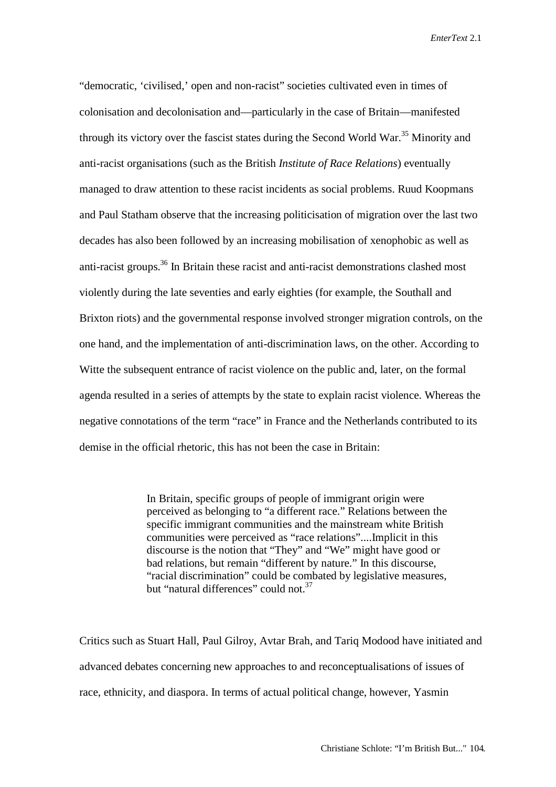"democratic, 'civilised,' open and non-racist" societies cultivated even in times of colonisation and decolonisation and—particularly in the case of Britain—manifested through its victory over the fascist states during the Second World War.<sup>35</sup> Minority and anti-racist organisations (such as the British *Institute of Race Relations*) eventually managed to draw attention to these racist incidents as social problems. Ruud Koopmans and Paul Statham observe that the increasing politicisation of migration over the last two decades has also been followed by an increasing mobilisation of xenophobic as well as anti-racist groups.<sup>36</sup> In Britain these racist and anti-racist demonstrations clashed most violently during the late seventies and early eighties (for example, the Southall and Brixton riots) and the governmental response involved stronger migration controls, on the one hand, and the implementation of anti-discrimination laws, on the other. According to Witte the subsequent entrance of racist violence on the public and, later, on the formal agenda resulted in a series of attempts by the state to explain racist violence. Whereas the negative connotations of the term "race" in France and the Netherlands contributed to its demise in the official rhetoric, this has not been the case in Britain:

> In Britain, specific groups of people of immigrant origin were perceived as belonging to "a different race." Relations between the specific immigrant communities and the mainstream white British communities were perceived as "race relations"....Implicit in this discourse is the notion that "They" and "We" might have good or bad relations, but remain "different by nature." In this discourse, "racial discrimination" could be combated by legislative measures, but "natural differences" could not.<sup>37</sup>

Critics such as Stuart Hall, Paul Gilroy, Avtar Brah, and Tariq Modood have initiated and advanced debates concerning new approaches to and reconceptualisations of issues of race, ethnicity, and diaspora. In terms of actual political change, however, Yasmin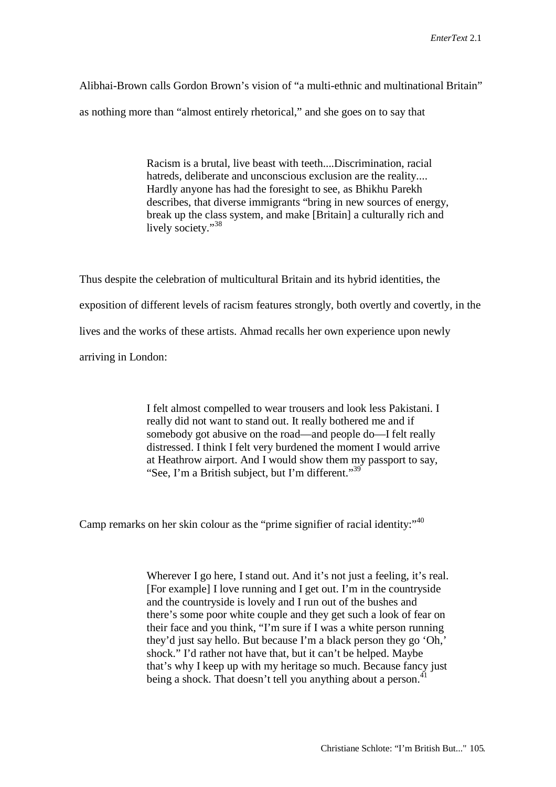Alibhai-Brown calls Gordon Brown's vision of "a multi-ethnic and multinational Britain" as nothing more than "almost entirely rhetorical," and she goes on to say that

> Racism is a brutal, live beast with teeth....Discrimination, racial hatreds, deliberate and unconscious exclusion are the reality.... Hardly anyone has had the foresight to see, as Bhikhu Parekh describes, that diverse immigrants "bring in new sources of energy, break up the class system, and make [Britain] a culturally rich and lively society."<sup>38</sup>

Thus despite the celebration of multicultural Britain and its hybrid identities, the exposition of different levels of racism features strongly, both overtly and covertly, in the lives and the works of these artists. Ahmad recalls her own experience upon newly arriving in London:

> I felt almost compelled to wear trousers and look less Pakistani. I really did not want to stand out. It really bothered me and if somebody got abusive on the road—and people do—I felt really distressed. I think I felt very burdened the moment I would arrive at Heathrow airport. And I would show them my passport to say, "See, I'm a British subject, but I'm different."<sup>39</sup>

Camp remarks on her skin colour as the "prime signifier of racial identity:"<sup>40</sup>

Wherever I go here, I stand out. And it's not just a feeling, it's real. [For example] I love running and I get out. I'm in the countryside and the countryside is lovely and I run out of the bushes and there's some poor white couple and they get such a look of fear on their face and you think, "I'm sure if I was a white person running they'd just say hello. But because I'm a black person they go 'Oh,' shock." I'd rather not have that, but it can't be helped. Maybe that's why I keep up with my heritage so much. Because fancy just being a shock. That doesn't tell you anything about a person.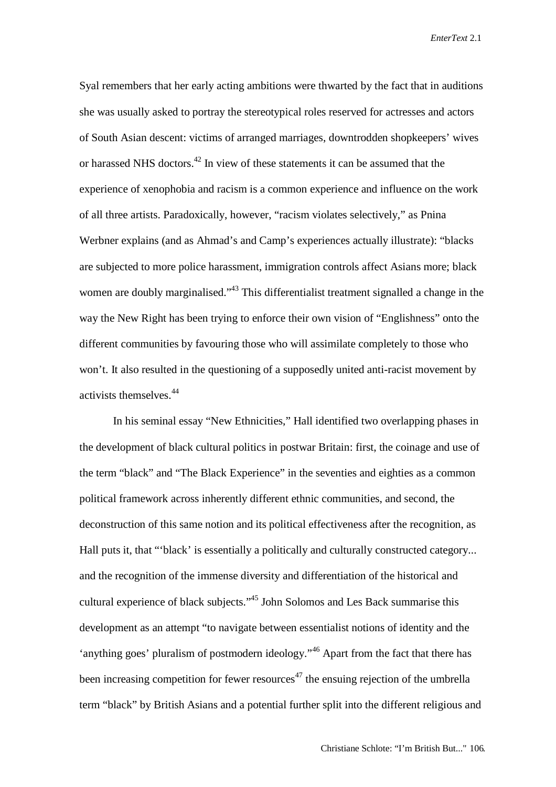Syal remembers that her early acting ambitions were thwarted by the fact that in auditions she was usually asked to portray the stereotypical roles reserved for actresses and actors of South Asian descent: victims of arranged marriages, downtrodden shopkeepers' wives or harassed NHS doctors.<sup>42</sup> In view of these statements it can be assumed that the experience of xenophobia and racism is a common experience and influence on the work of all three artists. Paradoxically, however, "racism violates selectively," as Pnina Werbner explains (and as Ahmad's and Camp's experiences actually illustrate): "blacks are subjected to more police harassment, immigration controls affect Asians more; black women are doubly marginalised."<sup>43</sup> This differentialist treatment signalled a change in the way the New Right has been trying to enforce their own vision of "Englishness" onto the different communities by favouring those who will assimilate completely to those who won't. It also resulted in the questioning of a supposedly united anti-racist movement by activists themselves.<sup>44</sup>

In his seminal essay "New Ethnicities," Hall identified two overlapping phases in the development of black cultural politics in postwar Britain: first, the coinage and use of the term "black" and "The Black Experience" in the seventies and eighties as a common political framework across inherently different ethnic communities, and second, the deconstruction of this same notion and its political effectiveness after the recognition, as Hall puts it, that "'black' is essentially a politically and culturally constructed category... and the recognition of the immense diversity and differentiation of the historical and cultural experience of black subjects."45 John Solomos and Les Back summarise this development as an attempt "to navigate between essentialist notions of identity and the 'anything goes' pluralism of postmodern ideology."46 Apart from the fact that there has been increasing competition for fewer resources<sup>47</sup> the ensuing rejection of the umbrella term "black" by British Asians and a potential further split into the different religious and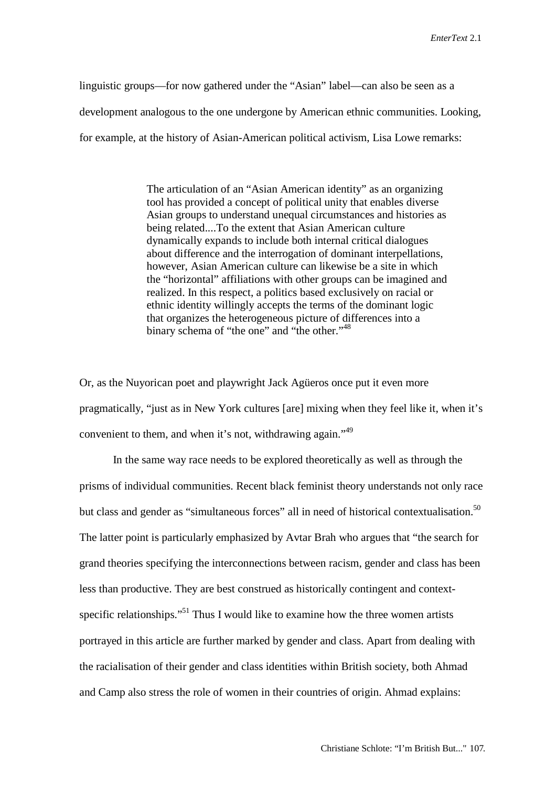linguistic groups—for now gathered under the "Asian" label—can also be seen as a development analogous to the one undergone by American ethnic communities. Looking, for example, at the history of Asian-American political activism, Lisa Lowe remarks:

> The articulation of an "Asian American identity" as an organizing tool has provided a concept of political unity that enables diverse Asian groups to understand unequal circumstances and histories as being related....To the extent that Asian American culture dynamically expands to include both internal critical dialogues about difference and the interrogation of dominant interpellations, however, Asian American culture can likewise be a site in which the "horizontal" affiliations with other groups can be imagined and realized. In this respect, a politics based exclusively on racial or ethnic identity willingly accepts the terms of the dominant logic that organizes the heterogeneous picture of differences into a binary schema of "the one" and "the other."<sup>48</sup>

Or, as the Nuyorican poet and playwright Jack Agüeros once put it even more pragmatically, "just as in New York cultures [are] mixing when they feel like it, when it's convenient to them, and when it's not, withdrawing again."<sup>49</sup>

In the same way race needs to be explored theoretically as well as through the prisms of individual communities. Recent black feminist theory understands not only race but class and gender as "simultaneous forces" all in need of historical contextualisation.<sup>50</sup> The latter point is particularly emphasized by Avtar Brah who argues that "the search for grand theories specifying the interconnections between racism, gender and class has been less than productive. They are best construed as historically contingent and contextspecific relationships."<sup>51</sup> Thus I would like to examine how the three women artists portrayed in this article are further marked by gender and class. Apart from dealing with the racialisation of their gender and class identities within British society, both Ahmad and Camp also stress the role of women in their countries of origin. Ahmad explains: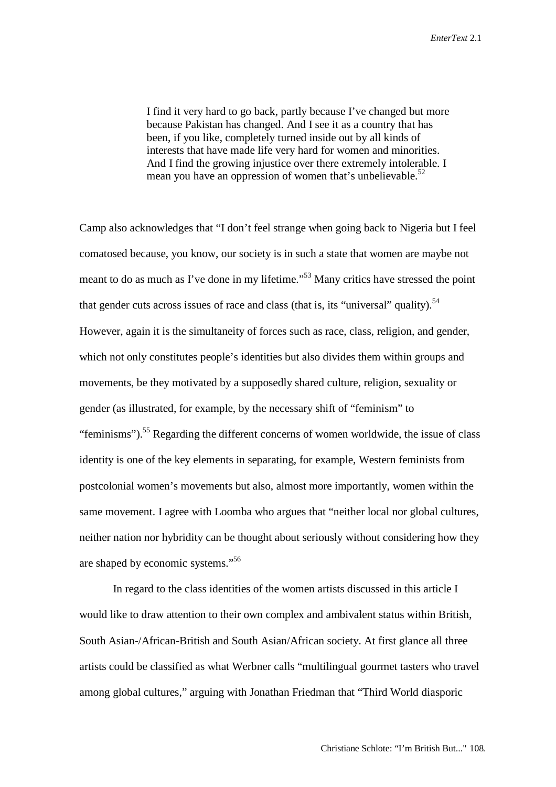I find it very hard to go back, partly because I've changed but more because Pakistan has changed. And I see it as a country that has been, if you like, completely turned inside out by all kinds of interests that have made life very hard for women and minorities. And I find the growing injustice over there extremely intolerable. I mean you have an oppression of women that's unbelievable.<sup>52</sup>

Camp also acknowledges that "I don't feel strange when going back to Nigeria but I feel comatosed because, you know, our society is in such a state that women are maybe not meant to do as much as I've done in my lifetime."<sup>53</sup> Many critics have stressed the point that gender cuts across issues of race and class (that is, its "universal" quality).<sup>54</sup> However, again it is the simultaneity of forces such as race, class, religion, and gender, which not only constitutes people's identities but also divides them within groups and movements, be they motivated by a supposedly shared culture, religion, sexuality or gender (as illustrated, for example, by the necessary shift of "feminism" to "feminisms").<sup>55</sup> Regarding the different concerns of women worldwide, the issue of class identity is one of the key elements in separating, for example, Western feminists from postcolonial women's movements but also, almost more importantly, women within the same movement. I agree with Loomba who argues that "neither local nor global cultures, neither nation nor hybridity can be thought about seriously without considering how they are shaped by economic systems."<sup>56</sup>

In regard to the class identities of the women artists discussed in this article I would like to draw attention to their own complex and ambivalent status within British, South Asian-/African-British and South Asian/African society. At first glance all three artists could be classified as what Werbner calls "multilingual gourmet tasters who travel among global cultures," arguing with Jonathan Friedman that "Third World diasporic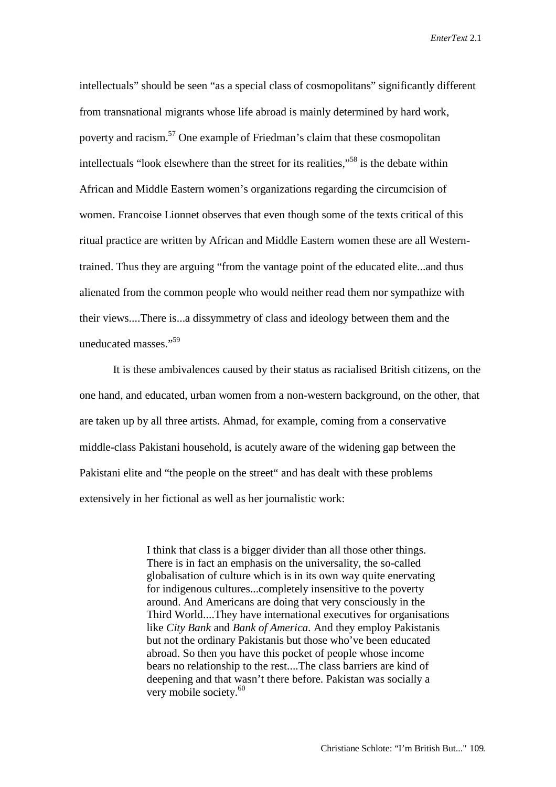intellectuals" should be seen "as a special class of cosmopolitans" significantly different from transnational migrants whose life abroad is mainly determined by hard work, poverty and racism.<sup>57</sup> One example of Friedman's claim that these cosmopolitan intellectuals "look elsewhere than the street for its realities."<sup>58</sup> is the debate within African and Middle Eastern women's organizations regarding the circumcision of women. Francoise Lionnet observes that even though some of the texts critical of this ritual practice are written by African and Middle Eastern women these are all Westerntrained. Thus they are arguing "from the vantage point of the educated elite...and thus alienated from the common people who would neither read them nor sympathize with their views....There is...a dissymmetry of class and ideology between them and the uneducated masses."59

It is these ambivalences caused by their status as racialised British citizens, on the one hand, and educated, urban women from a non-western background, on the other, that are taken up by all three artists. Ahmad, for example, coming from a conservative middle-class Pakistani household, is acutely aware of the widening gap between the Pakistani elite and "the people on the street" and has dealt with these problems extensively in her fictional as well as her journalistic work:

> I think that class is a bigger divider than all those other things. There is in fact an emphasis on the universality, the so-called globalisation of culture which is in its own way quite enervating for indigenous cultures...completely insensitive to the poverty around. And Americans are doing that very consciously in the Third World....They have international executives for organisations like *City Bank* and *Bank of America*. And they employ Pakistanis but not the ordinary Pakistanis but those who've been educated abroad. So then you have this pocket of people whose income bears no relationship to the rest....The class barriers are kind of deepening and that wasn't there before. Pakistan was socially a very mobile society.<sup>60</sup>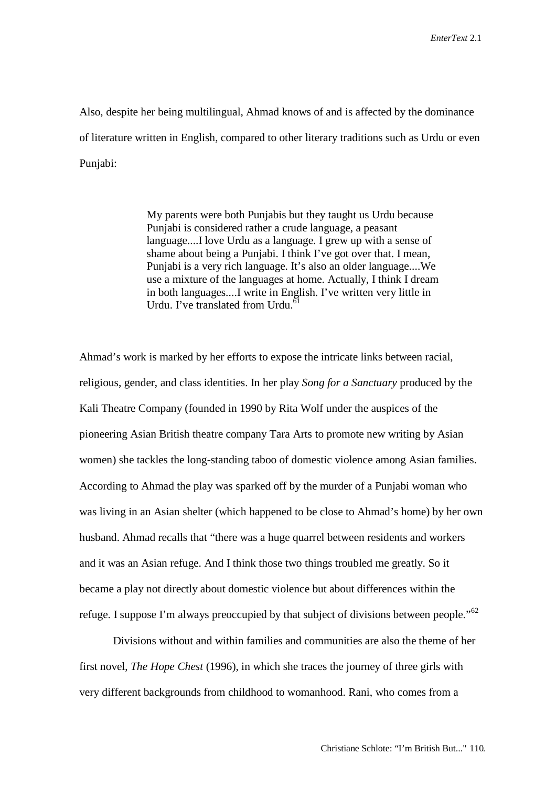Also, despite her being multilingual, Ahmad knows of and is affected by the dominance of literature written in English, compared to other literary traditions such as Urdu or even Punjabi:

> My parents were both Punjabis but they taught us Urdu because Punjabi is considered rather a crude language, a peasant language....I love Urdu as a language. I grew up with a sense of shame about being a Punjabi. I think I've got over that. I mean, Punjabi is a very rich language. It's also an older language....We use a mixture of the languages at home. Actually, I think I dream in both languages....I write in English. I've written very little in Urdu. I've translated from Urdu. $61$

Ahmad's work is marked by her efforts to expose the intricate links between racial, religious, gender, and class identities. In her play *Song for a Sanctuary* produced by the Kali Theatre Company (founded in 1990 by Rita Wolf under the auspices of the pioneering Asian British theatre company Tara Arts to promote new writing by Asian women) she tackles the long-standing taboo of domestic violence among Asian families. According to Ahmad the play was sparked off by the murder of a Punjabi woman who was living in an Asian shelter (which happened to be close to Ahmad's home) by her own husband. Ahmad recalls that "there was a huge quarrel between residents and workers and it was an Asian refuge. And I think those two things troubled me greatly. So it became a play not directly about domestic violence but about differences within the refuge. I suppose I'm always preoccupied by that subject of divisions between people." $62$ 

Divisions without and within families and communities are also the theme of her first novel, *The Hope Chest* (1996), in which she traces the journey of three girls with very different backgrounds from childhood to womanhood. Rani, who comes from a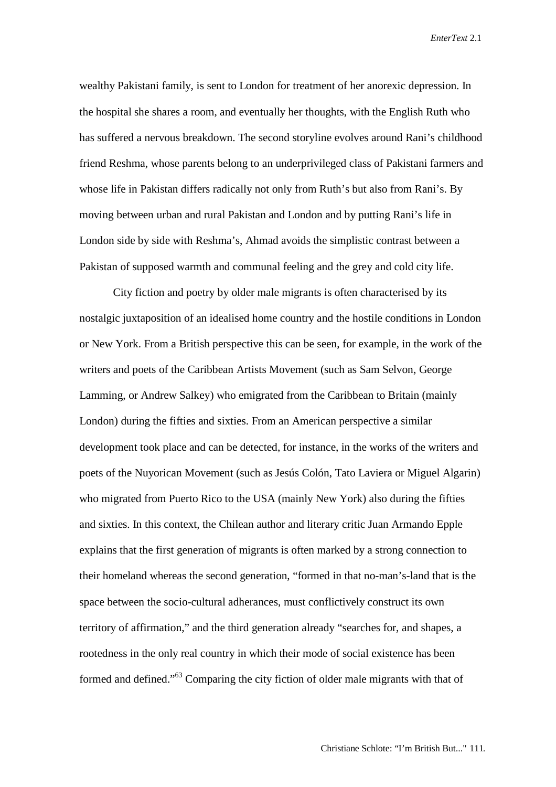wealthy Pakistani family, is sent to London for treatment of her anorexic depression. In the hospital she shares a room, and eventually her thoughts, with the English Ruth who has suffered a nervous breakdown. The second storyline evolves around Rani's childhood friend Reshma, whose parents belong to an underprivileged class of Pakistani farmers and whose life in Pakistan differs radically not only from Ruth's but also from Rani's. By moving between urban and rural Pakistan and London and by putting Rani's life in London side by side with Reshma's, Ahmad avoids the simplistic contrast between a Pakistan of supposed warmth and communal feeling and the grey and cold city life.

City fiction and poetry by older male migrants is often characterised by its nostalgic juxtaposition of an idealised home country and the hostile conditions in London or New York. From a British perspective this can be seen, for example, in the work of the writers and poets of the Caribbean Artists Movement (such as Sam Selvon, George Lamming, or Andrew Salkey) who emigrated from the Caribbean to Britain (mainly London) during the fifties and sixties. From an American perspective a similar development took place and can be detected, for instance, in the works of the writers and poets of the Nuyorican Movement (such as Jesús Colón, Tato Laviera or Miguel Algarin) who migrated from Puerto Rico to the USA (mainly New York) also during the fifties and sixties. In this context, the Chilean author and literary critic Juan Armando Epple explains that the first generation of migrants is often marked by a strong connection to their homeland whereas the second generation, "formed in that no-man's-land that is the space between the socio-cultural adherances, must conflictively construct its own territory of affirmation," and the third generation already "searches for, and shapes, a rootedness in the only real country in which their mode of social existence has been formed and defined."<sup>63</sup> Comparing the city fiction of older male migrants with that of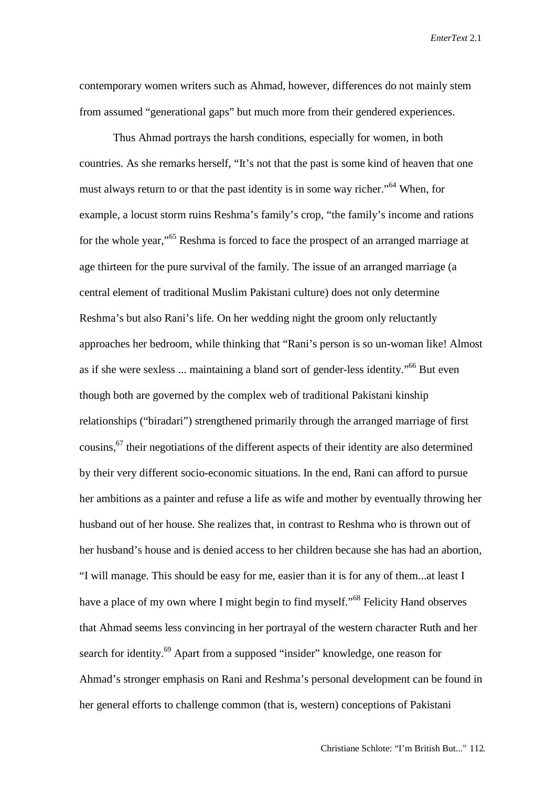contemporary women writers such as Ahmad, however, differences do not mainly stem from assumed "generational gaps" but much more from their gendered experiences.

Thus Ahmad portrays the harsh conditions, especially for women, in both countries. As she remarks herself, "It's not that the past is some kind of heaven that one must always return to or that the past identity is in some way richer."<sup>64</sup> When, for example, a locust storm ruins Reshma's family's crop, "the family's income and rations for the whole year,"<sup>65</sup> Reshma is forced to face the prospect of an arranged marriage at age thirteen for the pure survival of the family. The issue of an arranged marriage (a central element of traditional Muslim Pakistani culture) does not only determine Reshma's but also Rani's life. On her wedding night the groom only reluctantly approaches her bedroom, while thinking that "Rani's person is so un-woman like! Almost as if she were sexless ... maintaining a bland sort of gender-less identity."66 But even though both are governed by the complex web of traditional Pakistani kinship relationships ("biradari") strengthened primarily through the arranged marriage of first cousins,67 their negotiations of the different aspects of their identity are also determined by their very different socio-economic situations. In the end, Rani can afford to pursue her ambitions as a painter and refuse a life as wife and mother by eventually throwing her husband out of her house. She realizes that, in contrast to Reshma who is thrown out of her husband's house and is denied access to her children because she has had an abortion, "I will manage. This should be easy for me, easier than it is for any of them...at least I have a place of my own where I might begin to find myself."<sup>68</sup> Felicity Hand observes that Ahmad seems less convincing in her portrayal of the western character Ruth and her search for identity.<sup>69</sup> Apart from a supposed "insider" knowledge, one reason for Ahmad's stronger emphasis on Rani and Reshma's personal development can be found in her general efforts to challenge common (that is, western) conceptions of Pakistani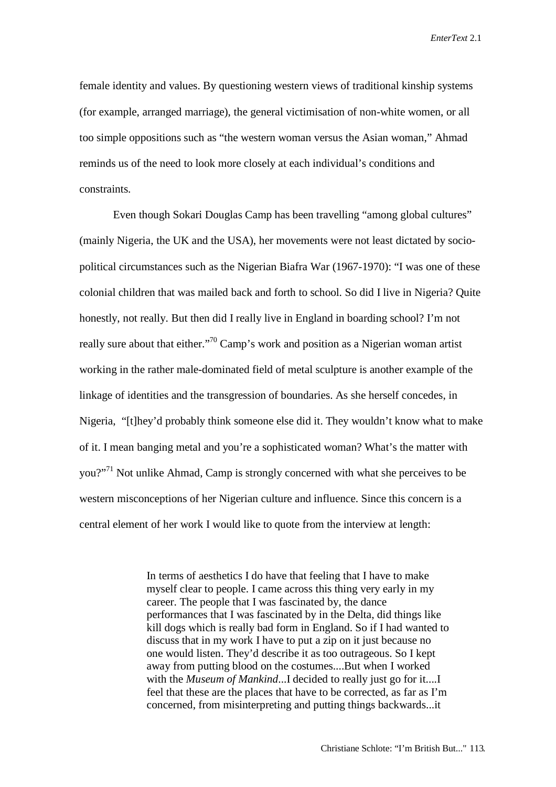female identity and values. By questioning western views of traditional kinship systems (for example, arranged marriage), the general victimisation of non-white women, or all too simple oppositions such as "the western woman versus the Asian woman," Ahmad reminds us of the need to look more closely at each individual's conditions and constraints.

Even though Sokari Douglas Camp has been travelling "among global cultures" (mainly Nigeria, the UK and the USA), her movements were not least dictated by sociopolitical circumstances such as the Nigerian Biafra War (1967-1970): "I was one of these colonial children that was mailed back and forth to school. So did I live in Nigeria? Quite honestly, not really. But then did I really live in England in boarding school? I'm not really sure about that either."<sup>70</sup> Camp's work and position as a Nigerian woman artist working in the rather male-dominated field of metal sculpture is another example of the linkage of identities and the transgression of boundaries. As she herself concedes, in Nigeria, "[t]hey'd probably think someone else did it. They wouldn't know what to make of it. I mean banging metal and you're a sophisticated woman? What's the matter with you?"<sup>71</sup> Not unlike Ahmad, Camp is strongly concerned with what she perceives to be western misconceptions of her Nigerian culture and influence. Since this concern is a central element of her work I would like to quote from the interview at length:

> In terms of aesthetics I do have that feeling that I have to make myself clear to people. I came across this thing very early in my career. The people that I was fascinated by, the dance performances that I was fascinated by in the Delta, did things like kill dogs which is really bad form in England. So if I had wanted to discuss that in my work I have to put a zip on it just because no one would listen. They'd describe it as too outrageous. So I kept away from putting blood on the costumes....But when I worked with the *Museum of Mankind*...I decided to really just go for it....I feel that these are the places that have to be corrected, as far as I'm concerned, from misinterpreting and putting things backwards...it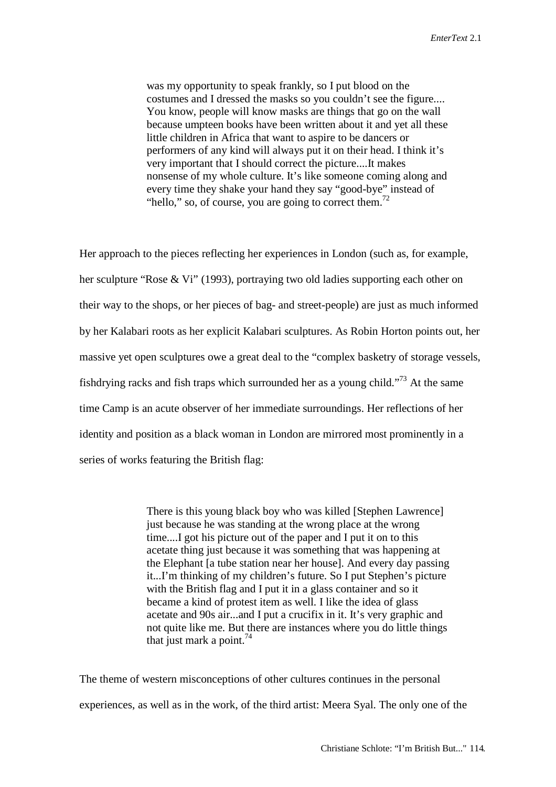was my opportunity to speak frankly, so I put blood on the costumes and I dressed the masks so you couldn't see the figure.... You know, people will know masks are things that go on the wall because umpteen books have been written about it and yet all these little children in Africa that want to aspire to be dancers or performers of any kind will always put it on their head. I think it's very important that I should correct the picture....It makes nonsense of my whole culture. It's like someone coming along and every time they shake your hand they say "good-bye" instead of "hello," so, of course, you are going to correct them. $^{72}$ 

Her approach to the pieces reflecting her experiences in London (such as, for example, her sculpture "Rose & Vi" (1993), portraying two old ladies supporting each other on their way to the shops, or her pieces of bag- and street-people) are just as much informed by her Kalabari roots as her explicit Kalabari sculptures. As Robin Horton points out, her massive yet open sculptures owe a great deal to the "complex basketry of storage vessels, fishdrying racks and fish traps which surrounded her as a young child."73 At the same time Camp is an acute observer of her immediate surroundings. Her reflections of her identity and position as a black woman in London are mirrored most prominently in a series of works featuring the British flag:

> There is this young black boy who was killed [Stephen Lawrence] just because he was standing at the wrong place at the wrong time....I got his picture out of the paper and I put it on to this acetate thing just because it was something that was happening at the Elephant [a tube station near her house]. And every day passing it...I'm thinking of my children's future. So I put Stephen's picture with the British flag and I put it in a glass container and so it became a kind of protest item as well. I like the idea of glass acetate and 90s air...and I put a crucifix in it. It's very graphic and not quite like me. But there are instances where you do little things that just mark a point. $74$

The theme of western misconceptions of other cultures continues in the personal experiences, as well as in the work, of the third artist: Meera Syal. The only one of the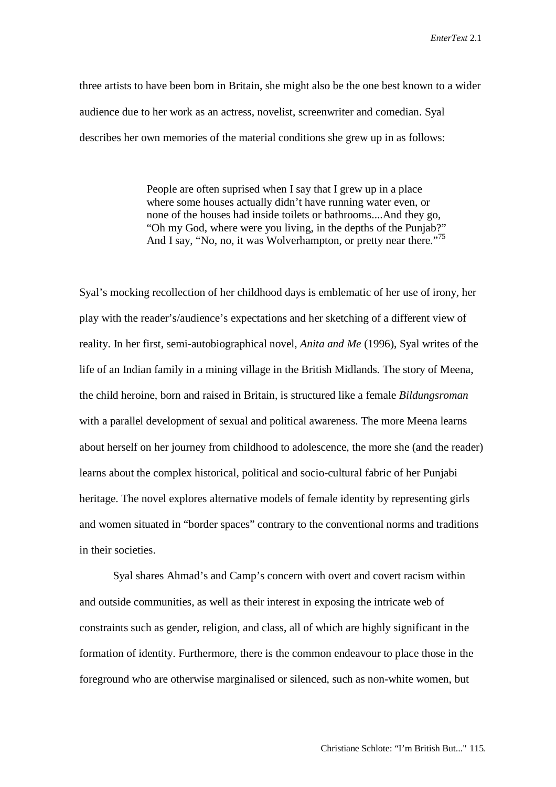three artists to have been born in Britain, she might also be the one best known to a wider audience due to her work as an actress, novelist, screenwriter and comedian. Syal describes her own memories of the material conditions she grew up in as follows:

> People are often suprised when I say that I grew up in a place where some houses actually didn't have running water even, or none of the houses had inside toilets or bathrooms....And they go, "Oh my God, where were you living, in the depths of the Punjab?" And I say, "No, no, it was Wolverhampton, or pretty near there."<sup>75</sup>

Syal's mocking recollection of her childhood days is emblematic of her use of irony, her play with the reader's/audience's expectations and her sketching of a different view of reality. In her first, semi-autobiographical novel, *Anita and Me* (1996), Syal writes of the life of an Indian family in a mining village in the British Midlands. The story of Meena, the child heroine, born and raised in Britain, is structured like a female *Bildungsroman* with a parallel development of sexual and political awareness. The more Meena learns about herself on her journey from childhood to adolescence, the more she (and the reader) learns about the complex historical, political and socio-cultural fabric of her Punjabi heritage. The novel explores alternative models of female identity by representing girls and women situated in "border spaces" contrary to the conventional norms and traditions in their societies.

Syal shares Ahmad's and Camp's concern with overt and covert racism within and outside communities, as well as their interest in exposing the intricate web of constraints such as gender, religion, and class, all of which are highly significant in the formation of identity. Furthermore, there is the common endeavour to place those in the foreground who are otherwise marginalised or silenced, such as non-white women, but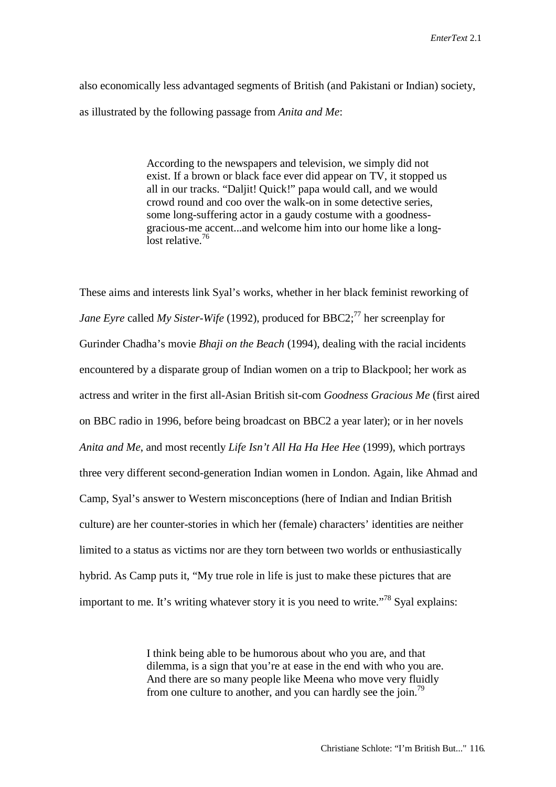also economically less advantaged segments of British (and Pakistani or Indian) society, as illustrated by the following passage from *Anita and Me*:

> According to the newspapers and television, we simply did not exist. If a brown or black face ever did appear on TV, it stopped us all in our tracks. "Daljit! Quick!" papa would call, and we would crowd round and coo over the walk-on in some detective series, some long-suffering actor in a gaudy costume with a goodnessgracious-me accent...and welcome him into our home like a longlost relative. $76$

These aims and interests link Syal's works, whether in her black feminist reworking of *Jane Eyre* called *My Sister-Wife* (1992), produced for BBC2;<sup>77</sup> her screenplay for Gurinder Chadha's movie *Bhaji on the Beach* (1994), dealing with the racial incidents encountered by a disparate group of Indian women on a trip to Blackpool; her work as actress and writer in the first all-Asian British sit-com *Goodness Gracious Me* (first aired on BBC radio in 1996, before being broadcast on BBC2 a year later); or in her novels *Anita and Me*, and most recently *Life Isn't All Ha Ha Hee Hee* (1999), which portrays three very different second-generation Indian women in London. Again, like Ahmad and Camp, Syal's answer to Western misconceptions (here of Indian and Indian British culture) are her counter-stories in which her (female) characters' identities are neither limited to a status as victims nor are they torn between two worlds or enthusiastically hybrid. As Camp puts it, "My true role in life is just to make these pictures that are important to me. It's writing whatever story it is you need to write.<sup>778</sup> Syal explains:

> I think being able to be humorous about who you are, and that dilemma, is a sign that you're at ease in the end with who you are. And there are so many people like Meena who move very fluidly from one culture to another, and you can hardly see the join.<sup>79</sup>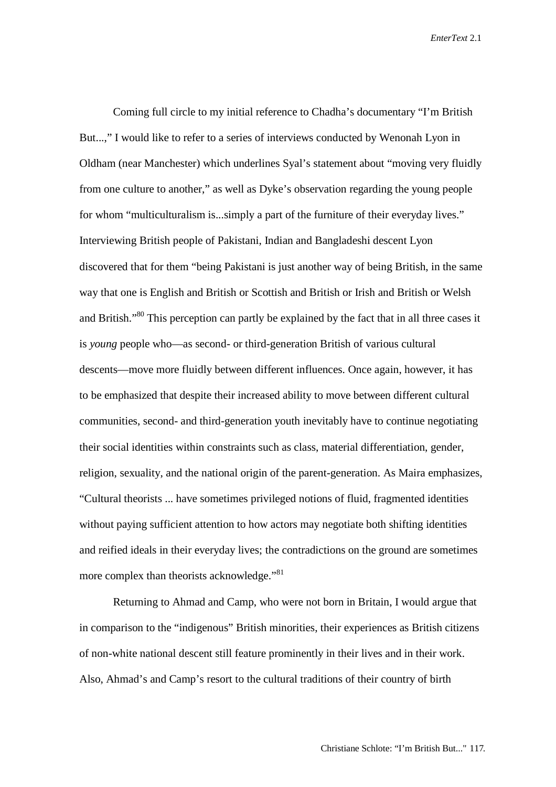Coming full circle to my initial reference to Chadha's documentary "I'm British But...," I would like to refer to a series of interviews conducted by Wenonah Lyon in Oldham (near Manchester) which underlines Syal's statement about "moving very fluidly from one culture to another," as well as Dyke's observation regarding the young people for whom "multiculturalism is...simply a part of the furniture of their everyday lives." Interviewing British people of Pakistani, Indian and Bangladeshi descent Lyon discovered that for them "being Pakistani is just another way of being British, in the same way that one is English and British or Scottish and British or Irish and British or Welsh and British."<sup>80</sup> This perception can partly be explained by the fact that in all three cases it is *young* people who—as second- or third-generation British of various cultural descents—move more fluidly between different influences. Once again, however, it has to be emphasized that despite their increased ability to move between different cultural communities, second- and third-generation youth inevitably have to continue negotiating their social identities within constraints such as class, material differentiation, gender, religion, sexuality, and the national origin of the parent-generation. As Maira emphasizes, "Cultural theorists ... have sometimes privileged notions of fluid, fragmented identities without paying sufficient attention to how actors may negotiate both shifting identities and reified ideals in their everyday lives; the contradictions on the ground are sometimes more complex than theorists acknowledge."<sup>81</sup>

Returning to Ahmad and Camp, who were not born in Britain, I would argue that in comparison to the "indigenous" British minorities, their experiences as British citizens of non-white national descent still feature prominently in their lives and in their work. Also, Ahmad's and Camp's resort to the cultural traditions of their country of birth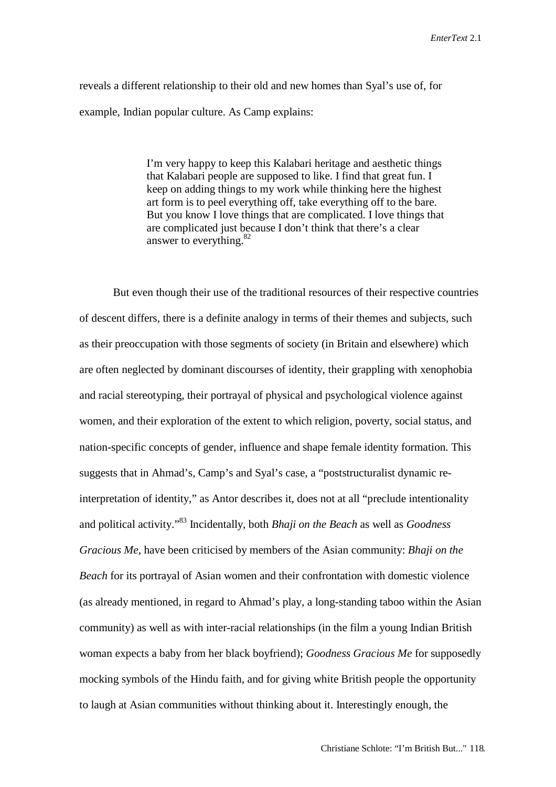reveals a different relationship to their old and new homes than Syal's use of, for example, Indian popular culture. As Camp explains:

> I'm very happy to keep this Kalabari heritage and aesthetic things that Kalabari people are supposed to like. I find that great fun. I keep on adding things to my work while thinking here the highest art form is to peel everything off, take everything off to the bare. But you know I love things that are complicated. I love things that are complicated just because I don't think that there's a clear answer to everything. $82$

But even though their use of the traditional resources of their respective countries of descent differs, there is a definite analogy in terms of their themes and subjects, such as their preoccupation with those segments of society (in Britain and elsewhere) which are often neglected by dominant discourses of identity, their grappling with xenophobia and racial stereotyping, their portrayal of physical and psychological violence against women, and their exploration of the extent to which religion, poverty, social status, and nation-specific concepts of gender, influence and shape female identity formation. This suggests that in Ahmad's, Camp's and Syal's case, a "poststructuralist dynamic reinterpretation of identity," as Antor describes it, does not at all "preclude intentionality and political activity."83 Incidentally, both *Bhaji on the Beach* as well as *Goodness Gracious Me*, have been criticised by members of the Asian community: *Bhaji on the Beach* for its portrayal of Asian women and their confrontation with domestic violence (as already mentioned, in regard to Ahmad's play, a long-standing taboo within the Asian community) as well as with inter-racial relationships (in the film a young Indian British woman expects a baby from her black boyfriend); *Goodness Gracious Me* for supposedly mocking symbols of the Hindu faith, and for giving white British people the opportunity to laugh at Asian communities without thinking about it. Interestingly enough, the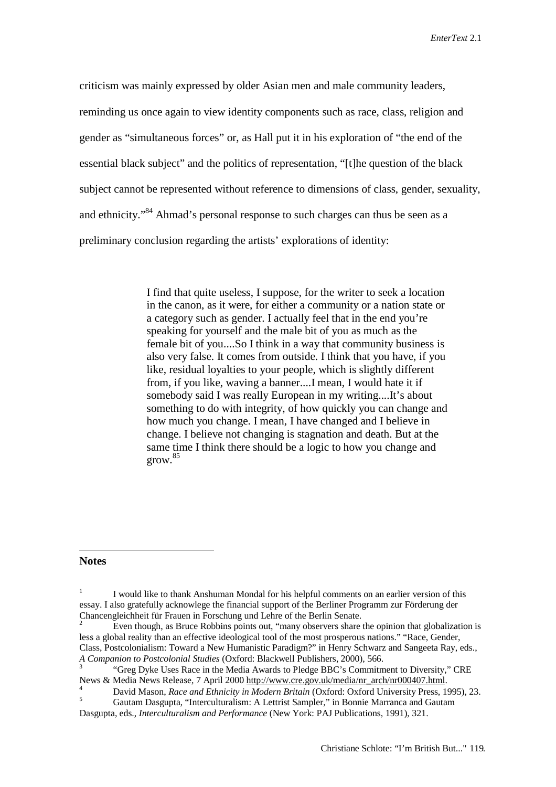criticism was mainly expressed by older Asian men and male community leaders, reminding us once again to view identity components such as race, class, religion and gender as "simultaneous forces" or, as Hall put it in his exploration of "the end of the essential black subject" and the politics of representation, "[t]he question of the black subject cannot be represented without reference to dimensions of class, gender, sexuality, and ethnicity."<sup>84</sup> Ahmad's personal response to such charges can thus be seen as a preliminary conclusion regarding the artists' explorations of identity:

> I find that quite useless, I suppose, for the writer to seek a location in the canon, as it were, for either a community or a nation state or a category such as gender. I actually feel that in the end you're speaking for yourself and the male bit of you as much as the female bit of you....So I think in a way that community business is also very false. It comes from outside. I think that you have, if you like, residual loyalties to your people, which is slightly different from, if you like, waving a banner....I mean, I would hate it if somebody said I was really European in my writing....It's about something to do with integrity, of how quickly you can change and how much you change. I mean, I have changed and I believe in change. I believe not changing is stagnation and death. But at the same time I think there should be a logic to how you change and grow.<sup>85</sup>

## **Notes**

 $\overline{a}$ 

<sup>1</sup> I would like to thank Anshuman Mondal for his helpful comments on an earlier version of this essay. I also gratefully acknowlege the financial support of the Berliner Programm zur Förderung der Chancengleichheit für Frauen in Forschung und Lehre of the Berlin Senate.<br><sup>2</sup> Even though, as Bruce Robbins points out, "many observers share the opinion that globalization is

less a global reality than an effective ideological tool of the most prosperous nations." "Race, Gender, Class, Postcolonialism: Toward a New Humanistic Paradigm?" in Henry Schwarz and Sangeeta Ray, eds., *A Companion to Postcolonial Studies* (Oxford: Blackwell Publishers, 2000), 566. <sup>3</sup> "Greg Dyke Uses Race in the Media Awards to Pledge BBC's Commitment to Diversity," CRE

News & Media News Release, 7 April 2000 http://www.cre.gov.uk/media/nr\_arch/nr000407.html.

<sup>&</sup>lt;sup>4</sup> David Mason, *Race and Ethnicity in Modern Britain* (Oxford: Oxford University Press, 1995), 23.<br><sup>5</sup> Gautam Dasgupta, "Interculturalism: A Lettrist Sampler," in Bonnie Marranca and Gautam

Dasgupta, eds., *Interculturalism and Performance* (New York: PAJ Publications, 1991), 321.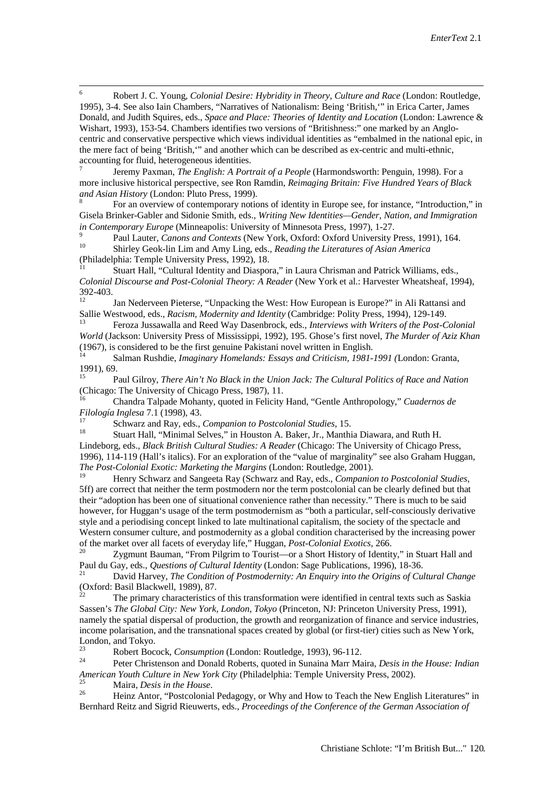6 Robert J. C. Young, *Colonial Desire: Hybridity in Theory, Culture and Race* (London: Routledge, 1995), 3-4. See also Iain Chambers, "Narratives of Nationalism: Being 'British,'" in Erica Carter, James Donald, and Judith Squires, eds., *Space and Place: Theories of Identity and Location* (London: Lawrence & Wishart, 1993), 153-54. Chambers identifies two versions of "Britishness:" one marked by an Anglocentric and conservative perspective which views individual identities as "embalmed in the national epic, in the mere fact of being 'British,'" and another which can be described as ex-centric and multi-ethnic, accounting for fluid, heterogeneous identities.

<sup>7</sup> Jeremy Paxman, *The English: A Portrait of a People* (Harmondsworth: Penguin, 1998). For a more inclusive historical perspective, see Ron Ramdin, *Reimaging Britain: Five Hundred Years of Black and Asian History* (London: Pluto Press, 1999).<br><sup>8</sup> For an overview of contemporary notions of identity in Europe see, for instance, "Introduction," in

Gisela Brinker-Gabler and Sidonie Smith, eds., *Writing New Identities—Gender, Nation, and Immigration in Contemporary Europe* (Minneapolis: University of Minnesota Press, 1997), 1-27.

<sup>9</sup> Paul Lauter, *Canons and Contexts* (New York, Oxford: Oxford University Press, 1991), 164. <sup>10</sup> Shirley Geok-lin Lim and Amy Ling, eds., *Reading the Literatures of Asian America*

(Philadelphia: Temple University Press, 1992), 18.<br><sup>11</sup> Stuart Hall, "Cultural Identity and Diaspora," in Laura Chrisman and Patrick Williams, eds., *Colonial Discourse and Post-Colonial Theory: A Reader* (New York et al.: Harvester Wheatsheaf, 1994), 392-403.

<sup>12</sup> Jan Nederveen Pieterse, "Unpacking the West: How European is Europe?" in Ali Rattansi and Sallie Westwood, eds., *Racism, Modernity and Identity* (Cambridge: Polity Press, 1994), 129-149.

<sup>13</sup> Feroza Jussawalla and Reed Way Dasenbrock, eds., *Interviews with Writers of the Post-Colonial World* (Jackson: University Press of Mississippi, 1992), 195. Ghose's first novel, *The Murder of Aziz Khan* (1967), is considered to be the first genuine Pakistani novel written in English.

<sup>14</sup> Salman Rushdie, *Imaginary Homelands: Essays and Criticism, 1981-1991 (*London: Granta, 1991), 69.

<sup>15</sup> Paul Gilroy, *There Ain't No Black in the Union Jack: The Cultural Politics of Race and Nation* (Chicago: The University of Chicago Press, 1987), 11.

<sup>16</sup> Chandra Talpade Mohanty, quoted in Felicity Hand, "Gentle Anthropology," *Cuadernos de Filología Inglesa* 7.1 (1998), 43.

<sup>17</sup> Schwarz and Ray, eds., *Companion to Postcolonial Studies*, 15.<br><sup>18</sup> Stuart Hall, "Minimal Selves," in Houston A. Baker, Jr., Manthia Diawara, and Ruth H. Lindeborg, eds., *Black British Cultural Studies: A Reader* (Chicago: The University of Chicago Press, 1996), 114-119 (Hall's italics). For an exploration of the "value of marginality" see also Graham Huggan, *The Post-Colonial Exotic: Marketing the Margins* (London: Routledge, 2001).

<sup>19</sup> Henry Schwarz and Sangeeta Ray (Schwarz and Ray, eds., *Companion to Postcolonial Studies*, 5ff) are correct that neither the term postmodern nor the term postcolonial can be clearly defined but that their "adoption has been one of situational convenience rather than necessity." There is much to be said however, for Huggan's usage of the term postmodernism as "both a particular, self-consciously derivative style and a periodising concept linked to late multinational capitalism, the society of the spectacle and Western consumer culture, and postmodernity as a global condition characterised by the increasing power

of the market over all facets of everyday life," Huggan, *Post-Colonial Exotics*, 266.<br><sup>20</sup> Zygmunt Bauman, "From Pilgrim to Tourist—or a Short History of Identity," in Stuart Hall and Paul du Gay, eds., *Questions of Cultural Identity* (London: Sage Publications, 1996), 18-36.

<sup>21</sup> David Harvey, *The Condition of Postmodernity: An Enquiry into the Origins of Cultural Change* (Oxford: Basil Blackwell, 1989), 87.<br><sup>22</sup> The primary characteristics of this transformation were identified in central texts such as Saskia

Sassen's *The Global City: New York, London, Tokyo* (Princeton, NJ: Princeton University Press, 1991), namely the spatial dispersal of production, the growth and reorganization of finance and service industries, income polarisation, and the transnational spaces created by global (or first-tier) cities such as New York, London, and Tokyo.

<sup>23</sup> Robert Bocock, *Consumption* (London: Routledge, 1993), 96-112.

<sup>24</sup> Peter Christenson and Donald Roberts, quoted in Sunaina Marr Maira, *Desis in the House: Indian American Youth Culture in New York City* (Philadelphia: Temple University Press, 2002).<br>
Maira, *Desis in the House*.<br>
<sup>25</sup> Heinz Antor, "Postcolonial Pedagogy, or Why and How to Teach the New English Literatures" in

Bernhard Reitz and Sigrid Rieuwerts, eds., *Proceedings of the Conference of the German Association of*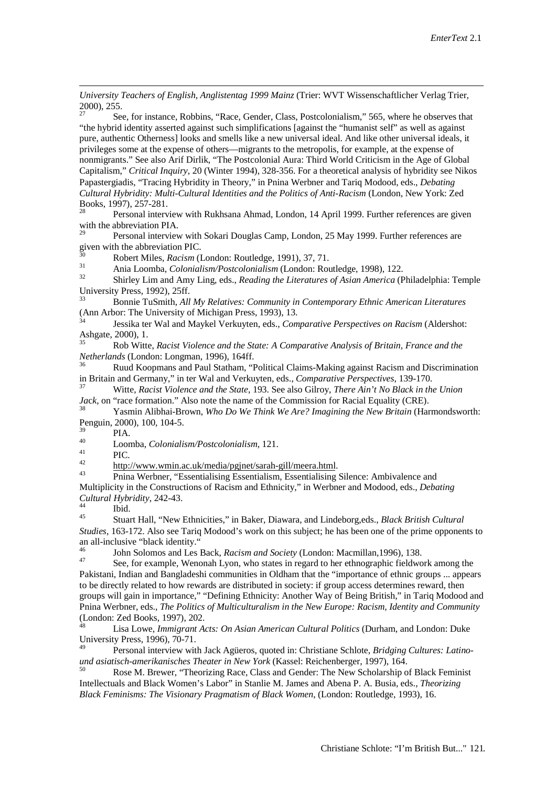*University Teachers of English, Anglistentag 1999 Mainz* (Trier: WVT Wissenschaftlicher Verlag Trier,  $2000$ , 255.

<sup>27</sup> See, for instance, Robbins, "Race, Gender, Class, Postcolonialism," 565, where he observes that "the hybrid identity asserted against such simplifications [against the "humanist self" as well as against pure, authentic Otherness] looks and smells like a new universal ideal. And like other universal ideals, it privileges some at the expense of others—migrants to the metropolis, for example, at the expense of nonmigrants." See also Arif Dirlik, "The Postcolonial Aura: Third World Criticism in the Age of Global Capitalism," *Critical Inquiry*, 20 (Winter 1994), 328-356. For a theoretical analysis of hybridity see Nikos Papastergiadis, "Tracing Hybridity in Theory," in Pnina Werbner and Tariq Modood, eds., *Debating Cultural Hybridity: Multi-Cultural Identities and the Politics of Anti-Racism* (London, New York: Zed Books, 1997), 257-281.<br>Personal interval

<sup>28</sup> Personal interview with Rukhsana Ahmad, London, 14 April 1999. Further references are given with the abbreviation PIA.

<sup>29</sup> Personal interview with Sokari Douglas Camp, London, 25 May 1999. Further references are given with the abbreviation PIC.

<sup>30</sup> Robert Miles, *Racism* (London: Routledge, 1991), 37, 71.

<sup>31</sup> Ania Loomba, *Colonialism/Postcolonialism* (London: Routledge, 1998), 122.

<sup>32</sup> Shirley Lim and Amy Ling, eds., *Reading the Literatures of Asian America* (Philadelphia: Temple University Press, 1992), 25ff.<br><sup>33</sup> Bonnie TuSmith, *All My Relatives: Community in Contemporary Ethnic American Literatures* 

(Ann Arbor: The University of Michigan Press, 1993), 13.

<sup>34</sup> Jessika ter Wal and Maykel Verkuyten, eds., *Comparative Perspectives on Racism* (Aldershot: Ashgate, 2000), 1.

<sup>35</sup> Rob Witte, *Racist Violence and the State: A Comparative Analysis of Britain, France and the Netherlands* (London: Longman, 1996), 164ff.<br><sup>36</sup> Ruud Koopmans and Paul Statham, "Political Claims-Making against Racism and Discrimination

in Britain and Germany," in ter Wal and Verkuyten, eds., *Comparative Perspectives*, 139-170.

<sup>37</sup> Witte, *Racist Violence and the State*, 193. See also Gilroy, *There Ain't No Black in the Union Ja*c*k*, on "race formation." Also note the name of the Commission for Racial Equality (CRE).

<sup>38</sup> Yasmin Alibhai-Brown, *Who Do We Think We Are? Imagining the New Britain* (Harmondsworth: Penguin, 2000), 100, 104-5.

 $^{39}$  PIA.

 $\overline{a}$ 

40 Loomba, *Colonialism/Postcolonialism*, 121.<br>
PIC.<br>  $\frac{\text{http://www.wmin.ac.uk/media/pgjnet/sarah-gill/mera.html}}{\text{http://www.wmin.ac.uk/media/pgjnet/sarah-gill/mera.html}}$ .<br>
Pnina Werbner, "Essentialising Essentialism, Essentialising Silence: Ambivalence and Multiplicity in the Constructions of Racism and Ethnicity," in Werbner and Modood, eds., *Debating Cultural Hybridity*, 242-43.<br><sup>44</sup> Ibid.<br><sup>45</sup> Stuert Hell "Now!

<sup>45</sup> Stuart Hall, "New Ethnicities," in Baker, Diawara, and Lindeborg,eds., *Black British Cultural Studies*, 163-172. Also see Tariq Modood's work on this subject; he has been one of the prime opponents to an all-inclusive "black identity."

<sup>46</sup> John Solomos and Les Back, *Racism and Society* (London: Macmillan,1996), 138.<br><sup>47</sup> See, for example, Wenonah Lyon, who states in regard to her ethnographic fieldwork among the Pakistani, Indian and Bangladeshi communities in Oldham that the "importance of ethnic groups ... appears to be directly related to how rewards are distributed in society: if group access determines reward, then groups will gain in importance," "Defining Ethnicity: Another Way of Being British," in Tariq Modood and Pnina Werbner, eds., *The Politics of Multiculturalism in the New Europe: Racism, Identity and Community* (London: Zed Books, 1997), 202.

<sup>48</sup> Lisa Lowe, *Immigrant Acts: On Asian American Cultural Politics* (Durham, and London: Duke University Press, 1996), 70-71.

<sup>49</sup> Personal interview with Jack Agüeros, quoted in: Christiane Schlote, *Bridging Cultures: Latinound asiatisch-amerikanisches Theater in New York* (Kassel: Reichenberger, 1997), 164.<br><sup>50</sup> Rose M. Brewer, "Theorizing Race, Class and Gender: The New Scholarship of Black Feminist

Intellectuals and Black Women's Labor" in Stanlie M. James and Abena P. A. Busia, eds., *Theorizing Black Feminisms: The Visionary Pragmatism of Black Women*, (London: Routledge, 1993), 16.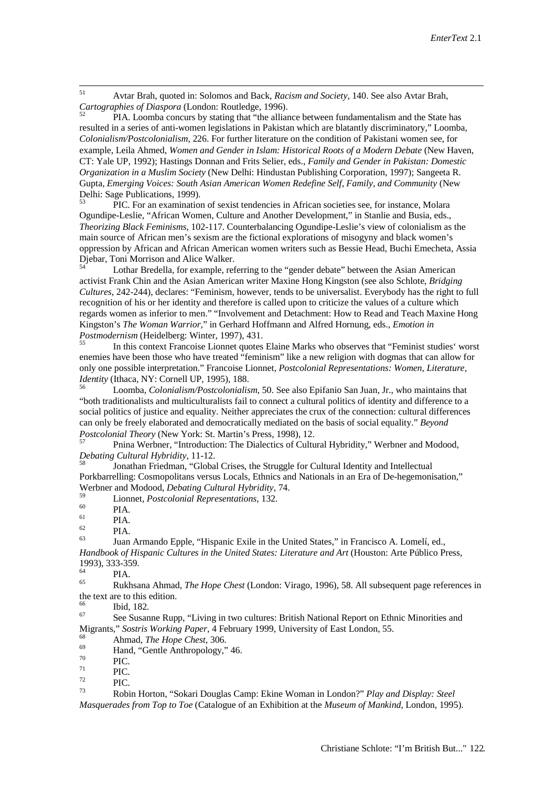51 Avtar Brah, quoted in: Solomos and Back, *Racism and Society*, 140. See also Avtar Brah, *Cartographies of Diaspora* (London: Routledge, 1996).<br><sup>52</sup> PIA. Loomba concurs by stating that "the alliance between fundamentalism and the State has

resulted in a series of anti-women legislations in Pakistan which are blatantly discriminatory," Loomba, *Colonialism/Postcolonialism*, 226. For further literature on the condition of Pakistani women see, for example, Leila Ahmed, *Women and Gender in Islam: Historical Roots of a Modern Debate* (New Haven, CT: Yale UP, 1992); Hastings Donnan and Frits Selier, eds., *Family and Gender in Pakistan: Domestic Organization in a Muslim Society* (New Delhi: Hindustan Publishing Corporation, 1997); Sangeeta R. Gupta, *Emerging Voices: South Asian American Women Redefine Self, Family, and Community* (New Delhi: Sage Publications, 1999).<br><sup>53</sup> PIC. For an examination of sexist tendencies in African societies see, for instance, Molara

Ogundipe-Leslie, "African Women, Culture and Another Development," in Stanlie and Busia, eds., *Theorizing Black Feminisms*, 102-117. Counterbalancing Ogundipe-Leslie's view of colonialism as the main source of African men's sexism are the fictional explorations of misogyny and black women's oppression by African and African American women writers such as Bessie Head, Buchi Emecheta, Assia Djebar, Toni Morrison and Alice Walker.<br><sup>54</sup> Lothar Bredella, for example, referring to the "gender debate" between the Asian American

activist Frank Chin and the Asian American writer Maxine Hong Kingston (see also Schlote, *Bridging Cultures*, 242-244), declares: "Feminism, however, tends to be universalist. Everybody has the right to full recognition of his or her identity and therefore is called upon to criticize the values of a culture which regards women as inferior to men." "Involvement and Detachment: How to Read and Teach Maxine Hong Kingston's *The Woman Warrior,*" in Gerhard Hoffmann and Alfred Hornung, eds., *Emotion in Postmodernism* (Heidelberg: Winter, 1997), 431.<br><sup>55</sup> In this context Francoise Lionnet quotes Elaine Marks who observes that "Feminist studies" worst

enemies have been those who have treated "feminism" like a new religion with dogmas that can allow for only one possible interpretation." Francoise Lionnet, *Postcolonial Representations: Women, Literature, Identity* (Ithaca, NY: Cornell UP, 1995), 188.

<sup>56</sup> Loomba, *Colonialism/Postcolonialism*, 50. See also Epifanio San Juan, Jr., who maintains that "both traditionalists and multiculturalists fail to connect a cultural politics of identity and difference to a social politics of justice and equality. Neither appreciates the crux of the connection: cultural differences can only be freely elaborated and democratically mediated on the basis of social equality." *Beyond Postcolonial Theory* (New York: St. Martin's Press, 1998), 12.<br><sup>57</sup> Pnina Werbner, "Introduction: The Dialectics of Cultural Hybridity," Werbner and Modood,

*Debating Cultural Hybridity*, 11-12.<br><sup>58</sup> Jonathan Friedman, "Global Crises, the Struggle for Cultural Identity and Intellectual

Porkbarrelling: Cosmopolitans versus Locals, Ethnics and Nationals in an Era of De-hegemonisation," Werbner and Modood, *Debating Cultural Hybridity*, 74.

<sup>59</sup> Lionnet, *Postcolonial Representations*, 132.<br>
<sup>61</sup> PIA.<br>
<sup>62</sup> PIA.<br>
<sup>63</sup> Juan Armando Epple, "Hispanic Exile in the United States," in Francisco A. Lomelí, ed., *Handbook of Hispanic Cultures in the United States: Literature and Art* (Houston: Arte Público Press, 1993), 333-359.

 $^{64}$  PIA.

<sup>65</sup> Rukhsana Ahmad, *The Hope Chest* (London: Virago, 1996), 58. All subsequent page references in the text are to this edition.<br> $\frac{66}{66}$  Ibid. 182.

<sup>67</sup> See Susanne Rupp, "Living in two cultures: British National Report on Ethnic Minorities and Migrants," *Sostris Working Paper*, 4 February 1999, University of East London, 55.

68 Ahmad, *The Hope Chest*, 306.<br>
<sup>69</sup> Hand, "Gentle Anthropology," 46.<br>
<sup>70</sup> PIC.<br>
PIC.<br>
<sup>73</sup> PIC.

<sup>73</sup> Robin Horton, "Sokari Douglas Camp: Ekine Woman in London?" *Play and Display: Steel Masquerades from Top to Toe* (Catalogue of an Exhibition at the *Museum of Mankind*, London, 1995).